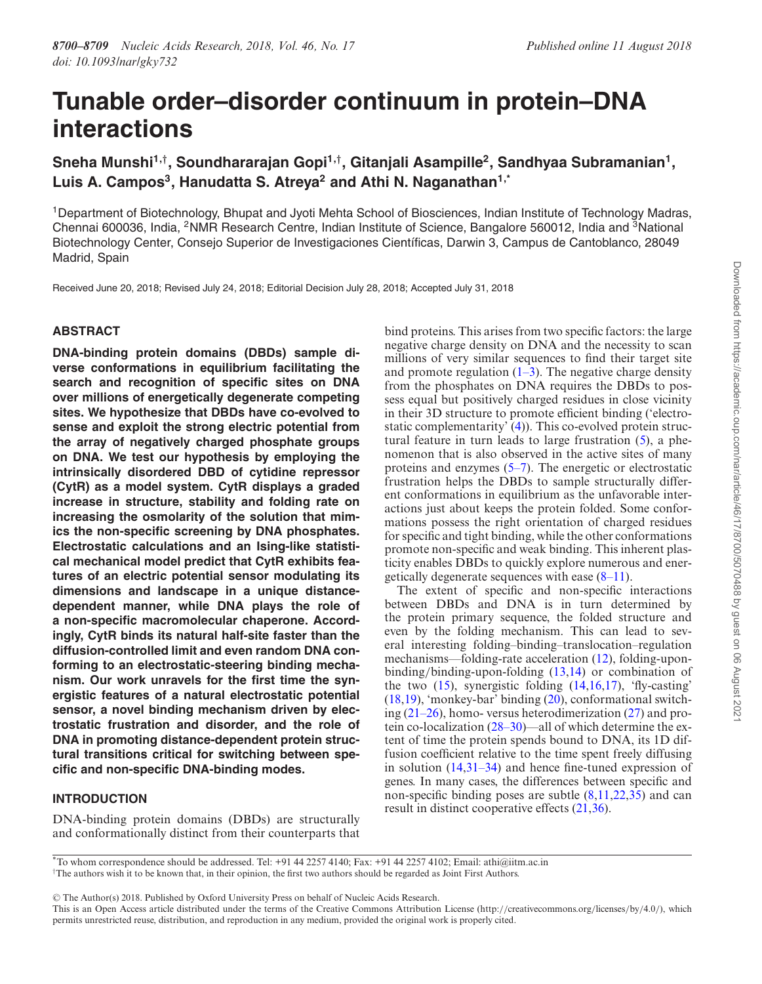# **Tunable order–disorder continuum in protein–DNA interactions**

**Sneha Munshi1,**† **, Soundhararajan Gopi1,**† **, Gitanjali Asampille<sup>2</sup> , Sandhyaa Subramanian<sup>1</sup> , Luis A. Campos<sup>3</sup> , Hanudatta S. Atreya<sup>2</sup> and Athi N. Naganathan1,\***

<sup>1</sup>Department of Biotechnology, Bhupat and Jyoti Mehta School of Biosciences, Indian Institute of Technology Madras, Chennai 600036, India, <sup>2</sup>NMR Research Centre, Indian Institute of Science, Bangalore 560012, India and <sup>3</sup>National Biotechnology Center, Consejo Superior de Investigaciones Científicas, Darwin 3, Campus de Cantoblanco, 28049 Madrid, Spain

Received June 20, 2018; Revised July 24, 2018; Editorial Decision July 28, 2018; Accepted July 31, 2018

# **ABSTRACT**

**DNA-binding protein domains (DBDs) sample diverse conformations in equilibrium facilitating the search and recognition of specific sites on DNA over millions of energetically degenerate competing sites. We hypothesize that DBDs have co-evolved to sense and exploit the strong electric potential from the array of negatively charged phosphate groups on DNA. We test our hypothesis by employing the intrinsically disordered DBD of cytidine repressor (CytR) as a model system. CytR displays a graded increase in structure, stability and folding rate on increasing the osmolarity of the solution that mimics the non-specific screening by DNA phosphates. Electrostatic calculations and an Ising-like statistical mechanical model predict that CytR exhibits features of an electric potential sensor modulating its dimensions and landscape in a unique distancedependent manner, while DNA plays the role of a non-specific macromolecular chaperone. Accordingly, CytR binds its natural half-site faster than the diffusion-controlled limit and even random DNA conforming to an electrostatic-steering binding mechanism. Our work unravels for the first time the synergistic features of a natural electrostatic potential sensor, a novel binding mechanism driven by electrostatic frustration and disorder, and the role of DNA in promoting distance-dependent protein structural transitions critical for switching between specific and non-specific DNA-binding modes.**

## **INTRODUCTION**

DNA-binding protein domains (DBDs) are structurally and conformationally distinct from their counterparts that

bind proteins. This arises from two specific factors: the large negative charge density on DNA and the necessity to scan millions of very similar sequences to find their target site and promote regulation  $(1-3)$ . The negative charge density from the phosphates on DNA requires the DBDs to possess equal but positively charged residues in close vicinity in their 3D structure to promote efficient binding ('electrostatic complementarity'  $(4)$ ). This co-evolved protein structural feature in turn leads to large frustration (5), a phenomenon that is also observed in the active sites of many proteins and enzymes (5–7). The energetic or electrostatic frustration helps the DBDs to sample structurally different conformations in equilibrium as the unfavorable interactions just about keeps the protein folded. Some conformations possess the right orientation of charged residues for specific and tight binding, while the other conformations promote non-specific and weak binding. This inherent plasticity enables DBDs to quickly explore numerous and energetically degenerate sequences with ease (8–11).

The extent of specific and non-specific interactions between DBDs and DNA is in turn determined by the protein primary sequence, the folded structure and even by the folding mechanism. This can lead to several interesting folding–binding–translocation–regulation mechanisms––folding-rate acceleration (12), folding-uponbinding/binding-upon-folding (13,14) or combination of the two  $(15)$ , synergistic folding  $(14,16,17)$ , 'fly-casting' (18,19), 'monkey-bar' binding (20), conformational switching  $(21-26)$ , homo-versus heterodimerization  $(27)$  and protein co-localization (28–30)––all of which determine the extent of time the protein spends bound to DNA, its 1D diffusion coefficient relative to the time spent freely diffusing in solution (14,31–34) and hence fine-tuned expression of genes. In many cases, the differences between specific and non-specific binding poses are subtle (8,11,22,35) and can result in distinct cooperative effects (21,36).

Downloaded from https://academic.oup.com/nar/article/46/17/8700/5070488 by guest on 06 August 202 Downloaded from https://academic.oup.com/nar/article/46/17/8700/5070488 by guest on 06 August 2021

<sup>\*</sup>To whom correspondence should be addressed. Tel: +91 44 2257 4140; Fax: +91 44 2257 4102; Email: athi@iitm.ac.in †The authors wish it to be known that, in their opinion, the first two authors should be regarded as Joint First Authors.

<sup>-</sup><sup>C</sup> The Author(s) 2018. Published by Oxford University Press on behalf of Nucleic Acids Research.

This is an Open Access article distributed under the terms of the Creative Commons Attribution License (http://creativecommons.org/licenses/by/4.0/), which permits unrestricted reuse, distribution, and reproduction in any medium, provided the original work is properly cited.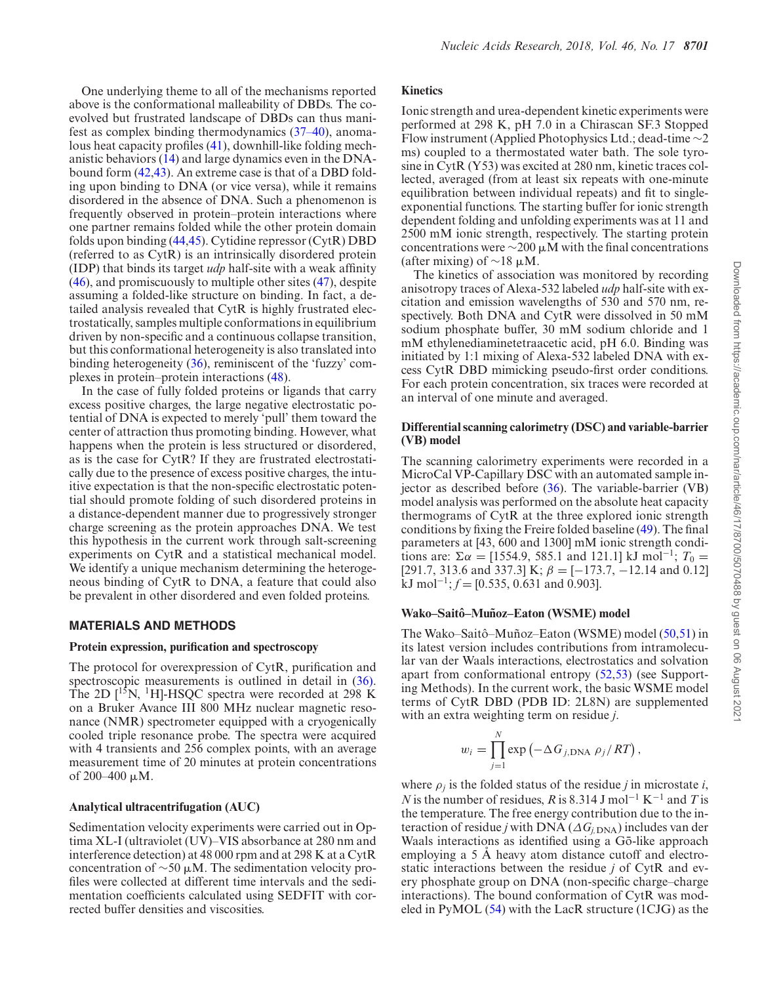One underlying theme to all of the mechanisms reported above is the conformational malleability of DBDs. The coevolved but frustrated landscape of DBDs can thus manifest as complex binding thermodynamics (37–40), anomalous heat capacity profiles (41), downhill-like folding mechanistic behaviors (14) and large dynamics even in the DNAbound form (42,43). An extreme case is that of a DBD folding upon binding to DNA (or vice versa), while it remains disordered in the absence of DNA. Such a phenomenon is frequently observed in protein–protein interactions where one partner remains folded while the other protein domain folds upon binding (44,45). Cytidine repressor (CytR) DBD (referred to as CytR) is an intrinsically disordered protein (IDP) that binds its target *udp* half-site with a weak affinity (46), and promiscuously to multiple other sites (47), despite assuming a folded-like structure on binding. In fact, a detailed analysis revealed that CytR is highly frustrated electrostatically, samples multiple conformations in equilibrium driven by non-specific and a continuous collapse transition, but this conformational heterogeneity is also translated into binding heterogeneity (36), reminiscent of the 'fuzzy' complexes in protein–protein interactions (48).

In the case of fully folded proteins or ligands that carry excess positive charges, the large negative electrostatic potential of DNA is expected to merely 'pull' them toward the center of attraction thus promoting binding. However, what happens when the protein is less structured or disordered, as is the case for CytR? If they are frustrated electrostatically due to the presence of excess positive charges, the intuitive expectation is that the non-specific electrostatic potential should promote folding of such disordered proteins in a distance-dependent manner due to progressively stronger charge screening as the protein approaches DNA. We test this hypothesis in the current work through salt-screening experiments on CytR and a statistical mechanical model. We identify a unique mechanism determining the heterogeneous binding of CytR to DNA, a feature that could also be prevalent in other disordered and even folded proteins.

## **MATERIALS AND METHODS**

#### **Protein expression, purification and spectroscopy**

The protocol for overexpression of CytR, purification and spectroscopic measurements is outlined in detail in  $(36)$ . The 2D  $[1^{\frac{5}{5}}N, 1H]$ -HSQC spectra were recorded at 298 K on a Bruker Avance III 800 MHz nuclear magnetic resonance (NMR) spectrometer equipped with a cryogenically cooled triple resonance probe. The spectra were acquired with 4 transients and 256 complex points, with an average measurement time of 20 minutes at protein concentrations of 200–400  $\mu$ M.

## **Analytical ultracentrifugation (AUC)**

Sedimentation velocity experiments were carried out in Optima XL-I (ultraviolet (UV)–VIS absorbance at 280 nm and interference detection) at 48 000 rpm and at 298 K at a CytR concentration of  $\sim$ 50 µM. The sedimentation velocity profiles were collected at different time intervals and the sedimentation coefficients calculated using SEDFIT with corrected buffer densities and viscosities.

## **Kinetics**

Ionic strength and urea-dependent kinetic experiments were performed at 298 K, pH 7.0 in a Chirascan SF.3 Stopped Flow instrument (Applied Photophysics Ltd.; dead-time ∼2 ms) coupled to a thermostated water bath. The sole tyrosine in CytR (Y53) was excited at 280 nm, kinetic traces collected, averaged (from at least six repeats with one-minute equilibration between individual repeats) and fit to singleexponential functions. The starting buffer for ionic strength dependent folding and unfolding experiments was at 11 and 2500 mM ionic strength, respectively. The starting protein concentrations were  $\sim$ 200  $\mu$ M with the final concentrations (after mixing) of  $\sim$ 18 µM.

The kinetics of association was monitored by recording anisotropy traces of Alexa-532 labeled *udp* half-site with excitation and emission wavelengths of 530 and 570 nm, respectively. Both DNA and CytR were dissolved in 50 mM sodium phosphate buffer, 30 mM sodium chloride and 1 mM ethylenediaminetetraacetic acid, pH 6.0. Binding was initiated by 1:1 mixing of Alexa-532 labeled DNA with excess CytR DBD mimicking pseudo-first order conditions. For each protein concentration, six traces were recorded at an interval of one minute and averaged.

## **Differential scanning calorimetry (DSC) and variable-barrier (VB) model**

The scanning calorimetry experiments were recorded in a MicroCal VP-Capillary DSC with an automated sample injector as described before (36). The variable-barrier (VB) model analysis was performed on the absolute heat capacity thermograms of CytR at the three explored ionic strength conditions by fixing the Freire folded baseline (49). The final parameters at [43, 600 and 1300] mM ionic strength conditions are:  $\Sigma \alpha = [1554.9, 585.1 \text{ and } 121.1] \text{ kJ mol}^{-1}$ ;  $T_0 =$ [291.7, 313.6 and 337.3] K;  $\beta = [-173.7, -12.14 \text{ and } 0.12]$  $kJ \text{ mol}^{-1}$ ;  $f = [0.535, 0.631 \text{ and } 0.903]$ .

# **Wako–Saitô–Muñoz–Eaton (WSME) model**

*N*

The Wako–Saitô–Muñoz–Eaton (WSME) model  $(50,51)$  in its latest version includes contributions from intramolecular van der Waals interactions, electrostatics and solvation apart from conformational entropy (52,53) (see Supporting Methods). In the current work, the basic WSME model terms of CytR DBD (PDB ID: 2L8N) are supplemented with an extra weighting term on residue *j*.

$$
w_i = \prod_{j=1}^N \exp(-\Delta G_{j,\text{DNA}} \rho_j / RT),
$$

where  $\rho_j$  is the folded status of the residue *j* in microstate *i*, *N* is the number of residues, *R* is 8.314 J mol<sup>-1</sup> K<sup>-1</sup> and *T* is the temperature. The free energy contribution due to the interaction of residue *j* with DNA ( $\Delta G$ <sub>*j*,DNA</sub>) includes van der Waals interactions as identified using a Gō-like approach employing a 5 A heavy atom distance cutoff and electrostatic interactions between the residue *j* of CytR and every phosphate group on DNA (non-specific charge–charge interactions). The bound conformation of CytR was modeled in PyMOL (54) with the LacR structure (1CJG) as the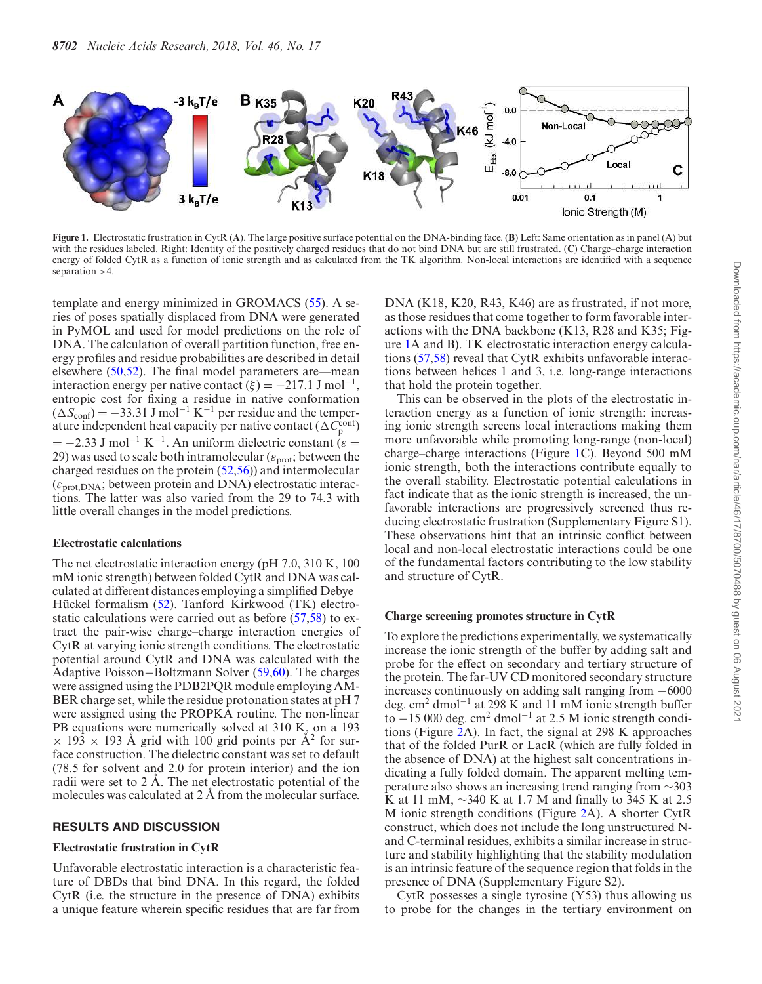

**Figure 1.** Electrostatic frustration in CytR (**A**). The large positive surface potential on the DNA-binding face. (**B**) Left: Same orientation as in panel (A) but with the residues labeled. Right: Identity of the positively charged residues that do not bind DNA but are still frustrated. (**C**) Charge–charge interaction energy of folded CytR as a function of ionic strength and as calculated from the TK algorithm. Non-local interactions are identified with a sequence separation >4.

template and energy minimized in GROMACS (55). A series of poses spatially displaced from DNA were generated in PyMOL and used for model predictions on the role of DNA. The calculation of overall partition function, free energy profiles and residue probabilities are described in detail elsewhere  $(50,52)$ . The final model parameters are—mean interaction energy per native contact  $(\xi) = -217.1$  J mol<sup>-1</sup>, entropic cost for fixing a residue in native conformation  $(\Delta S_{\text{conf}}) = -33.31 \text{ J mol}^{-1} \text{ K}^{-1}$  per residue and the temperature independent heat capacity per native contact ( $\Delta C_{\rm p}^{\rm cont}$ )  $= -2.33$  J mol<sup>-1</sup> K<sup>-1</sup>. An uniform dielectric constant ( $\varepsilon =$ 29) was used to scale both intramolecular ( $\varepsilon_{\text{prot}}$ ; between the charged residues on the protein (52,56)) and intermolecular  $(\varepsilon_{\text{prot},DNA};$  between protein and DNA) electrostatic interactions. The latter was also varied from the 29 to 74.3 with little overall changes in the model predictions.

#### **Electrostatic calculations**

The net electrostatic interaction energy (pH 7.0, 310 K, 100 mM ionic strength) between folded CytR and DNA was calculated at different distances employing a simplified Debye– Hückel formalism  $(52)$ . Tanford–Kirkwood  $(TK)$  electrostatic calculations were carried out as before (57,58) to extract the pair-wise charge–charge interaction energies of CytR at varying ionic strength conditions. The electrostatic potential around CytR and DNA was calculated with the Adaptive Poisson−Boltzmann Solver (59,60). The charges were assigned using the PDB2PQR module employing AM-BER charge set, while the residue protonation states at pH 7 were assigned using the PROPKA routine. The non-linear PB equations were numerically solved at 310 K, on a 193  $\times$  193  $\times$  193 Å grid with 100 grid points per Å<sup>2</sup> for surface construction. The dielectric constant was set to default (78.5 for solvent and 2.0 for protein interior) and the ion radii were set to  $2 \text{ Å}$ . The net electrostatic potential of the molecules was calculated at  $2 \text{ Å}$  from the molecular surface.

## **RESULTS AND DISCUSSION**

## **Electrostatic frustration in CytR**

Unfavorable electrostatic interaction is a characteristic feature of DBDs that bind DNA. In this regard, the folded CytR (i.e. the structure in the presence of DNA) exhibits a unique feature wherein specific residues that are far from

DNA (K18, K20, R43, K46) are as frustrated, if not more, as those residues that come together to form favorable interactions with the DNA backbone (K13, R28 and K35; Figure 1A and B). TK electrostatic interaction energy calculations (57,58) reveal that CytR exhibits unfavorable interactions between helices 1 and 3, i.e. long-range interactions that hold the protein together.

This can be observed in the plots of the electrostatic interaction energy as a function of ionic strength: increasing ionic strength screens local interactions making them more unfavorable while promoting long-range (non-local) charge–charge interactions (Figure 1C). Beyond 500 mM ionic strength, both the interactions contribute equally to the overall stability. Electrostatic potential calculations in fact indicate that as the ionic strength is increased, the unfavorable interactions are progressively screened thus reducing electrostatic frustration (Supplementary Figure S1). These observations hint that an intrinsic conflict between local and non-local electrostatic interactions could be one of the fundamental factors contributing to the low stability and structure of CytR.

#### **Charge screening promotes structure in CytR**

To explore the predictions experimentally, we systematically increase the ionic strength of the buffer by adding salt and probe for the effect on secondary and tertiary structure of the protein. The far-UV CD monitored secondary structure increases continuously on adding salt ranging from −6000 deg. cm<sup>2</sup> dmol<sup>−</sup><sup>1</sup> at 298 K and 11 mM ionic strength buffer to −15 000 deg. cm<sup>2</sup> dmol<sup>−</sup><sup>1</sup> at 2.5 M ionic strength conditions (Figure 2A). In fact, the signal at 298 K approaches that of the folded PurR or LacR (which are fully folded in the absence of DNA) at the highest salt concentrations indicating a fully folded domain. The apparent melting temperature also shows an increasing trend ranging from ∼303 K at 11 mM, ∼340 K at 1.7 M and finally to 345 K at 2.5 M ionic strength conditions (Figure 2A). A shorter CytR construct, which does not include the long unstructured Nand C-terminal residues, exhibits a similar increase in structure and stability highlighting that the stability modulation is an intrinsic feature of the sequence region that folds in the presence of DNA (Supplementary Figure S2).

CytR possesses a single tyrosine (Y53) thus allowing us to probe for the changes in the tertiary environment on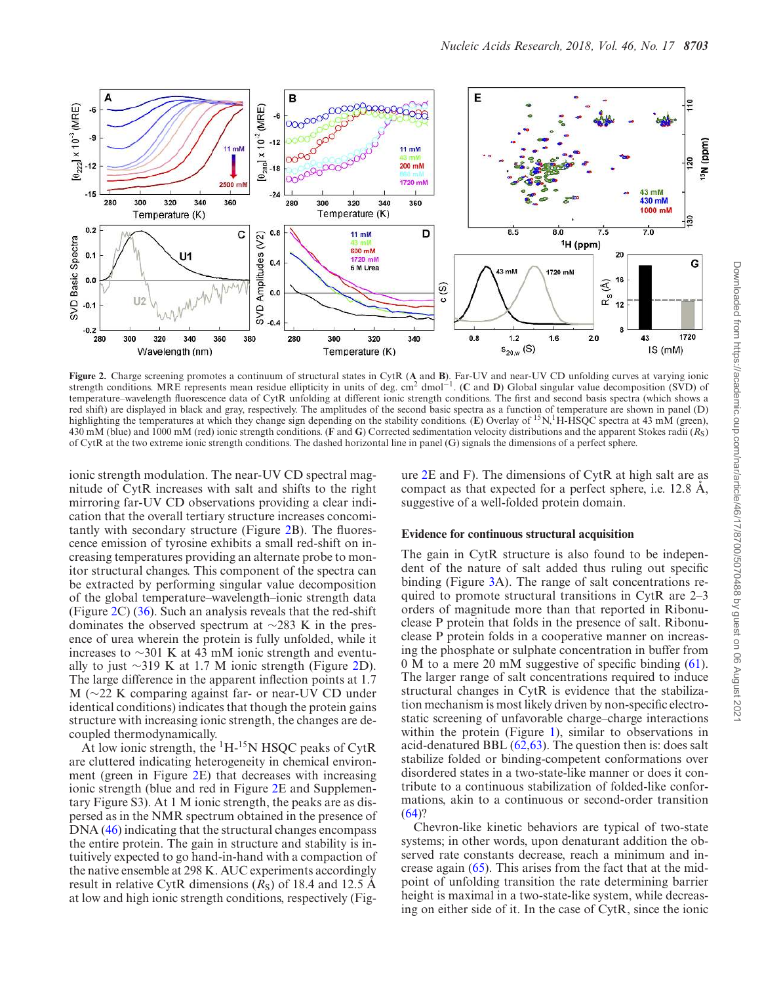

**Figure 2.** Charge screening promotes a continuum of structural states in CytR (**A** and **B**). Far-UV and near-UV CD unfolding curves at varying ionic strength conditions. MRE represents mean residue ellipticity in units of deg. cm<sup>2</sup> dmol<sup>-1</sup>. (C and D) Global singular value decomposition (SVD) of temperature–wavelength fluorescence data of CytR unfolding at different ionic strength conditions. The first and second basis spectra (which shows a red shift) are displayed in black and gray, respectively. The amplitudes of the second basic spectra as a function of temperature are shown in panel (D) highlighting the temperatures at which they change sign depending on the stability conditions. (**E**) Overlay of <sup>15</sup>N,<sup>1</sup>H-HSQC spectra at 43 mM (green), 430 mM (blue) and 1000 mM (red) ionic strength conditions. (**F** and **G**) Corrected sedimentation velocity distributions and the apparent Stokes radii (*R*S) of CytR at the two extreme ionic strength conditions. The dashed horizontal line in panel (G) signals the dimensions of a perfect sphere.

ionic strength modulation. The near-UV CD spectral magnitude of CytR increases with salt and shifts to the right mirroring far-UV CD observations providing a clear indication that the overall tertiary structure increases concomitantly with secondary structure (Figure 2B). The fluorescence emission of tyrosine exhibits a small red-shift on increasing temperatures providing an alternate probe to monitor structural changes. This component of the spectra can be extracted by performing singular value decomposition of the global temperature–wavelength–ionic strength data (Figure 2C) (36). Such an analysis reveals that the red-shift dominates the observed spectrum at ∼283 K in the presence of urea wherein the protein is fully unfolded, while it increases to ∼301 K at 43 mM ionic strength and eventually to just ∼319 K at 1.7 M ionic strength (Figure 2D). The large difference in the apparent inflection points at 1.7 M (∼22 K comparing against far- or near-UV CD under identical conditions) indicates that though the protein gains structure with increasing ionic strength, the changes are decoupled thermodynamically.

At low ionic strength, the  ${}^{1}H-{}^{15}N$  HSOC peaks of CytR are cluttered indicating heterogeneity in chemical environment (green in Figure 2E) that decreases with increasing ionic strength (blue and red in Figure 2E and Supplementary Figure S3). At 1 M ionic strength, the peaks are as dispersed as in the NMR spectrum obtained in the presence of DNA (46) indicating that the structural changes encompass the entire protein. The gain in structure and stability is intuitively expected to go hand-in-hand with a compaction of the native ensemble at 298 K. AUC experiments accordingly result in relative CytR dimensions  $(R<sub>S</sub>)$  of 18.4 and 12.5 A at low and high ionic strength conditions, respectively (Figure 2E and F). The dimensions of CytR at high salt are as compact as that expected for a perfect sphere, i.e.  $12.8 \text{ Å}$ , suggestive of a well-folded protein domain.

#### **Evidence for continuous structural acquisition**

The gain in CytR structure is also found to be independent of the nature of salt added thus ruling out specific binding (Figure 3A). The range of salt concentrations required to promote structural transitions in CytR are 2–3 orders of magnitude more than that reported in Ribonuclease P protein that folds in the presence of salt. Ribonuclease P protein folds in a cooperative manner on increasing the phosphate or sulphate concentration in buffer from 0 M to a mere 20 mM suggestive of specific binding (61). The larger range of salt concentrations required to induce structural changes in CytR is evidence that the stabilization mechanism is most likely driven by non-specific electrostatic screening of unfavorable charge–charge interactions within the protein (Figure 1), similar to observations in acid-denatured BBL  $(62, 63)$ . The question then is: does salt stabilize folded or binding-competent conformations over disordered states in a two-state-like manner or does it contribute to a continuous stabilization of folded-like conformations, akin to a continuous or second-order transition  $(64)$ ?

Chevron-like kinetic behaviors are typical of two-state systems; in other words, upon denaturant addition the observed rate constants decrease, reach a minimum and increase again  $(65)$ . This arises from the fact that at the midpoint of unfolding transition the rate determining barrier height is maximal in a two-state-like system, while decreasing on either side of it. In the case of CytR, since the ionic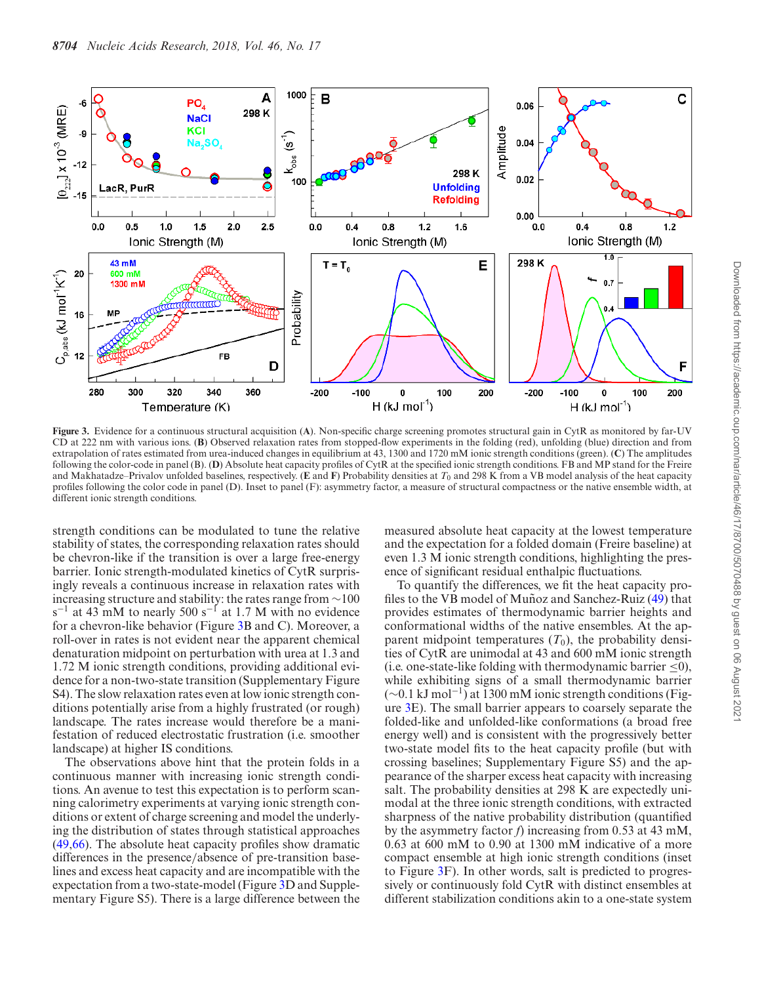

**Figure 3.** Evidence for a continuous structural acquisition (**A**). Non-specific charge screening promotes structural gain in CytR as monitored by far-UV CD at 222 nm with various ions. (**B**) Observed relaxation rates from stopped-flow experiments in the folding (red), unfolding (blue) direction and from extrapolation of rates estimated from urea-induced changes in equilibrium at 43, 1300 and 1720 mM ionic strength conditions (green). (**C**) The amplitudes following the color-code in panel (B). (**D**) Absolute heat capacity profiles of CytR at the specified ionic strength conditions. FB and MP stand for the Freire and Makhatadze–Privalov unfolded baselines, respectively. (**E** and **F**) Probability densities at  $T_0$  and 298 K from a VB model analysis of the heat capacity profiles following the color code in panel (D). Inset to panel (F): asymmetry factor, a measure of structural compactness or the native ensemble width, at different ionic strength conditions.

strength conditions can be modulated to tune the relative stability of states, the corresponding relaxation rates should be chevron-like if the transition is over a large free-energy barrier. Ionic strength-modulated kinetics of CytR surprisingly reveals a continuous increase in relaxation rates with increasing structure and stability: the rates range from ∼100 s<sup>-1</sup> at 43 mM to nearly 500 s<sup>-1</sup> at 1.7 M with no evidence for a chevron-like behavior (Figure 3B and C). Moreover, a roll-over in rates is not evident near the apparent chemical denaturation midpoint on perturbation with urea at 1.3 and 1.72 M ionic strength conditions, providing additional evidence for a non-two-state transition (Supplementary Figure S4). The slow relaxation rates even at low ionic strength conditions potentially arise from a highly frustrated (or rough) landscape. The rates increase would therefore be a manifestation of reduced electrostatic frustration (i.e. smoother landscape) at higher IS conditions.

The observations above hint that the protein folds in a continuous manner with increasing ionic strength conditions. An avenue to test this expectation is to perform scanning calorimetry experiments at varying ionic strength conditions or extent of charge screening and model the underlying the distribution of states through statistical approaches (49,66). The absolute heat capacity profiles show dramatic differences in the presence/absence of pre-transition baselines and excess heat capacity and are incompatible with the expectation from a two-state-model (Figure 3D and Supplementary Figure S5). There is a large difference between the

measured absolute heat capacity at the lowest temperature and the expectation for a folded domain (Freire baseline) at even  $1.3 \overline{M}$  ionic strength conditions, highlighting the presence of significant residual enthalpic fluctuations.

To quantify the differences, we fit the heat capacity profiles to the VB model of Muñoz and Sanchez-Ruiz  $(49)$  that provides estimates of thermodynamic barrier heights and conformational widths of the native ensembles. At the apparent midpoint temperatures  $(T_0)$ , the probability densities of CytR are unimodal at 43 and 600 mM ionic strength (i.e. one-state-like folding with thermodynamic barrier  $\leq 0$ ), while exhibiting signs of a small thermodynamic barrier (∼0.1 kJ mol<sup>−</sup><sup>1</sup> ) at 1300 mM ionic strength conditions (Figure 3E). The small barrier appears to coarsely separate the folded-like and unfolded-like conformations (a broad free energy well) and is consistent with the progressively better two-state model fits to the heat capacity profile (but with crossing baselines; Supplementary Figure S5) and the appearance of the sharper excess heat capacity with increasing salt. The probability densities at 298 K are expectedly unimodal at the three ionic strength conditions, with extracted sharpness of the native probability distribution (quantified by the asymmetry factor *f*) increasing from 0.53 at 43 mM, 0.63 at 600 mM to 0.90 at 1300 mM indicative of a more compact ensemble at high ionic strength conditions (inset to Figure 3F). In other words, salt is predicted to progressively or continuously fold CytR with distinct ensembles at different stabilization conditions akin to a one-state system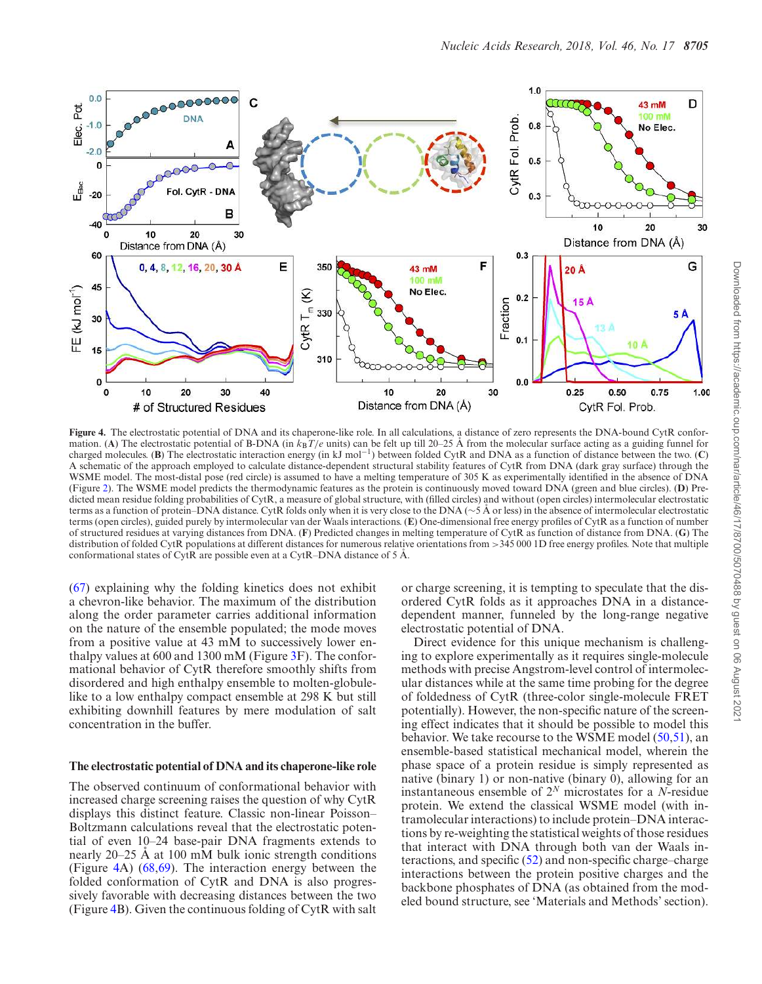

**Figure 4.** The electrostatic potential of DNA and its chaperone-like role. In all calculations, a distance of zero represents the DNA-bound CytR conformation. (A) The electrostatic potential of B-DNA (in  $k_B T/e$  units) can be felt up till 20–25 Å from the molecular surface acting as a guiding funnel for charged molecules. (**B**) The electrostatic interaction energy (in kJ mol−<sup>1</sup> ) between folded CytR and DNA as a function of distance between the two. (**C**) A schematic of the approach employed to calculate distance-dependent structural stability features of CytR from DNA (dark gray surface) through the WSME model. The most-distal pose (red circle) is assumed to have a melting temperature of 305 K as experimentally identified in the absence of DNA (Figure 2). The WSME model predicts the thermodynamic features as the protein is continuously moved toward DNA (green and blue circles). (**D**) Predicted mean residue folding probabilities of CytR, a measure of global structure, with (filled circles) and without (open circles) intermolecular electrostatic terms as a function of protein–DNA distance. CytR folds only when it is very close to the DNA ( $\sim$ 5 Å or less) in the absence of intermolecular electrostatic terms (open circles), guided purely by intermolecular van der Waals interactions. (**E**) One-dimensional free energy profiles of CytR as a function of number of structured residues at varying distances from DNA. (**F**) Predicted changes in melting temperature of CytR as function of distance from DNA. (**G**) The distribution of folded CytR populations at different distances for numerous relative orientations from >345 000 1D free energy profiles. Note that multiple conformational states of CytR are possible even at a CytR–DNA distance of  $5 \text{ Å}$ .

(67) explaining why the folding kinetics does not exhibit a chevron-like behavior. The maximum of the distribution along the order parameter carries additional information on the nature of the ensemble populated; the mode moves from a positive value at 43 mM to successively lower enthalpy values at 600 and 1300 mM (Figure 3F). The conformational behavior of CytR therefore smoothly shifts from disordered and high enthalpy ensemble to molten-globulelike to a low enthalpy compact ensemble at 298 K but still exhibiting downhill features by mere modulation of salt concentration in the buffer.

#### **The electrostatic potential of DNA and its chaperone-like role**

The observed continuum of conformational behavior with increased charge screening raises the question of why CytR displays this distinct feature. Classic non-linear Poisson– Boltzmann calculations reveal that the electrostatic potential of even 10–24 base-pair DNA fragments extends to nearly  $20-25$  Å at 100 mM bulk ionic strength conditions (Figure 4A) (68,69). The interaction energy between the folded conformation of CytR and DNA is also progressively favorable with decreasing distances between the two (Figure 4B). Given the continuous folding of CytR with salt or charge screening, it is tempting to speculate that the disordered CytR folds as it approaches DNA in a distancedependent manner, funneled by the long-range negative electrostatic potential of DNA.

Direct evidence for this unique mechanism is challenging to explore experimentally as it requires single-molecule methods with precise Angstrom-level control of intermolecular distances while at the same time probing for the degree of foldedness of CytR (three-color single-molecule FRET potentially). However, the non-specific nature of the screening effect indicates that it should be possible to model this behavior. We take recourse to the WSME model (50,51), an ensemble-based statistical mechanical model, wherein the phase space of a protein residue is simply represented as native (binary 1) or non-native (binary 0), allowing for an instantaneous ensemble of 2*<sup>N</sup>* microstates for a *N*-residue protein. We extend the classical WSME model (with intramolecular interactions) to include protein–DNA interactions by re-weighting the statistical weights of those residues that interact with DNA through both van der Waals interactions, and specific (52) and non-specific charge–charge interactions between the protein positive charges and the backbone phosphates of DNA (as obtained from the modeled bound structure, see 'Materials and Methods' section).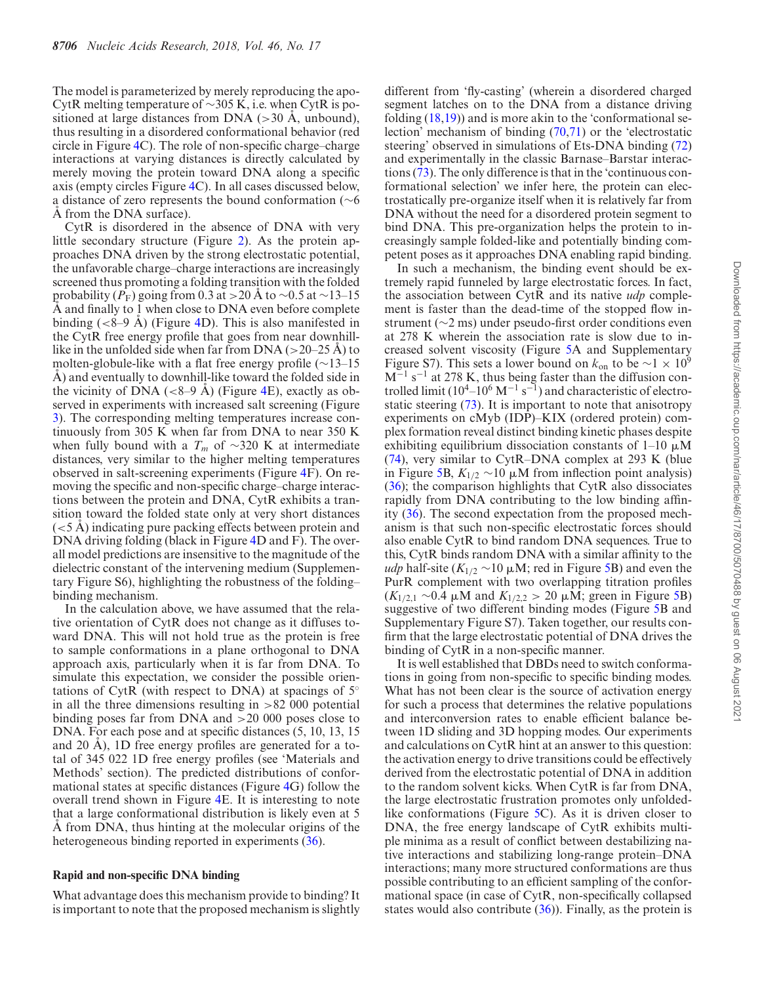The model is parameterized by merely reproducing the apo-CytR melting temperature of ∼305 K, i.e. when CytR is positioned at large distances from DNA  $(>30 \text{ Å}, \text{unbound})$ , thus resulting in a disordered conformational behavior (red circle in Figure 4C). The role of non-specific charge–charge interactions at varying distances is directly calculated by merely moving the protein toward DNA along a specific axis (empty circles Figure 4C). In all cases discussed below, a distance of zero represents the bound conformation (∼6  $\AA$  from the DNA surface).

CytR is disordered in the absence of DNA with very little secondary structure (Figure 2). As the protein approaches DNA driven by the strong electrostatic potential, the unfavorable charge–charge interactions are increasingly screened thus promoting a folding transition with the folded probability ( $P_F$ ) going from 0.3 at >20 Å to ~0.5 at ~13–15 A and finally to 1 when close to DNA even before complete binding  $( $8-9$  Å)$  (Figure 4D). This is also manifested in the CytR free energy profile that goes from near downhilllike in the unfolded side when far from DNA  $(>20-25 \text{ A})$  to molten-globule-like with a flat free energy profile (∼13–15 A) and eventually to downhill-like toward the folded side in the vicinity of DNA ( $\lt$ 8–9 Å) (Figure 4E), exactly as observed in experiments with increased salt screening (Figure 3). The corresponding melting temperatures increase continuously from 305 K when far from DNA to near 350 K when fully bound with a  $T_m$  of ~320 K at intermediate distances, very similar to the higher melting temperatures observed in salt-screening experiments (Figure 4F). On removing the specific and non-specific charge–charge interactions between the protein and DNA, CytR exhibits a transition toward the folded state only at very short distances  $(< 5 \text{ Å})$  indicating pure packing effects between protein and DNA driving folding (black in Figure 4D and F). The overall model predictions are insensitive to the magnitude of the dielectric constant of the intervening medium (Supplementary Figure S6), highlighting the robustness of the folding– binding mechanism.

In the calculation above, we have assumed that the relative orientation of CytR does not change as it diffuses toward DNA. This will not hold true as the protein is free to sample conformations in a plane orthogonal to DNA approach axis, particularly when it is far from DNA. To simulate this expectation, we consider the possible orientations of CytR (with respect to DNA) at spacings of  $5^\circ$ in all the three dimensions resulting in  $>82,000$  potential binding poses far from DNA and >20 000 poses close to DNA. For each pose and at specific distances (5, 10, 13, 15 and 20  $\AA$ ), 1D free energy profiles are generated for a total of 345 022 1D free energy profiles (see 'Materials and Methods' section). The predicted distributions of conformational states at specific distances (Figure 4G) follow the overall trend shown in Figure 4E. It is interesting to note that a large conformational distribution is likely even at 5  $\AA$  from DNA, thus hinting at the molecular origins of the heterogeneous binding reported in experiments (36).

## **Rapid and non-specific DNA binding**

What advantage does this mechanism provide to binding? It is important to note that the proposed mechanism is slightly

different from 'fly-casting' (wherein a disordered charged segment latches on to the DNA from a distance driving folding  $(18,19)$  and is more akin to the 'conformational selection' mechanism of binding (70,71) or the 'electrostatic steering' observed in simulations of Ets-DNA binding (72) and experimentally in the classic Barnase–Barstar interactions (73). The only difference is that in the 'continuous conformational selection' we infer here, the protein can electrostatically pre-organize itself when it is relatively far from DNA without the need for a disordered protein segment to bind DNA. This pre-organization helps the protein to increasingly sample folded-like and potentially binding competent poses as it approaches DNA enabling rapid binding.

In such a mechanism, the binding event should be extremely rapid funneled by large electrostatic forces. In fact, the association between CytR and its native *udp* complement is faster than the dead-time of the stopped flow instrument (∼2 ms) under pseudo-first order conditions even at 278 K wherein the association rate is slow due to increased solvent viscosity (Figure 5A and Supplementary Figure S7). This sets a lower bound on  $k_{on}$  to be  $~1 \times 10^9$  $M^{-1}$  s<sup>-1</sup> at 278 K, thus being faster than the diffusion controlled limit  $(10^4 - 10^6 \text{ M}^{-1} \text{ s}^{-1})$  and characteristic of electrostatic steering (73). It is important to note that anisotropy experiments on cMyb (IDP)–KIX (ordered protein) complex formation reveal distinct binding kinetic phases despite exhibiting equilibrium dissociation constants of  $1-10 \mu M$ (74), very similar to CytR–DNA complex at 293 K (blue in Figure 5B,  $K_{1/2}$  ∼10 μM from inflection point analysis) (36); the comparison highlights that CytR also dissociates rapidly from DNA contributing to the low binding affinity (36). The second expectation from the proposed mechanism is that such non-specific electrostatic forces should also enable CytR to bind random DNA sequences. True to this, CytR binds random DNA with a similar affinity to the *udp* half-site ( $K_{1/2}$  ∼10 μM; red in Figure 5B) and even the PurR complement with two overlapping titration profiles  $(K_{1/2,1}$  ∼0.4 µM and  $K_{1/2,2}$  > 20 µM; green in Figure 5B) suggestive of two different binding modes (Figure 5B and Supplementary Figure S7). Taken together, our results confirm that the large electrostatic potential of DNA drives the binding of CytR in a non-specific manner.

It is well established that DBDs need to switch conformations in going from non-specific to specific binding modes. What has not been clear is the source of activation energy for such a process that determines the relative populations and interconversion rates to enable efficient balance between 1D sliding and 3D hopping modes. Our experiments and calculations on CytR hint at an answer to this question: the activation energy to drive transitions could be effectively derived from the electrostatic potential of DNA in addition to the random solvent kicks. When CytR is far from DNA, the large electrostatic frustration promotes only unfoldedlike conformations (Figure 5C). As it is driven closer to DNA, the free energy landscape of CytR exhibits multiple minima as a result of conflict between destabilizing native interactions and stabilizing long-range protein–DNA interactions; many more structured conformations are thus possible contributing to an efficient sampling of the conformational space (in case of CytR, non-specifically collapsed states would also contribute  $(36)$ ). Finally, as the protein is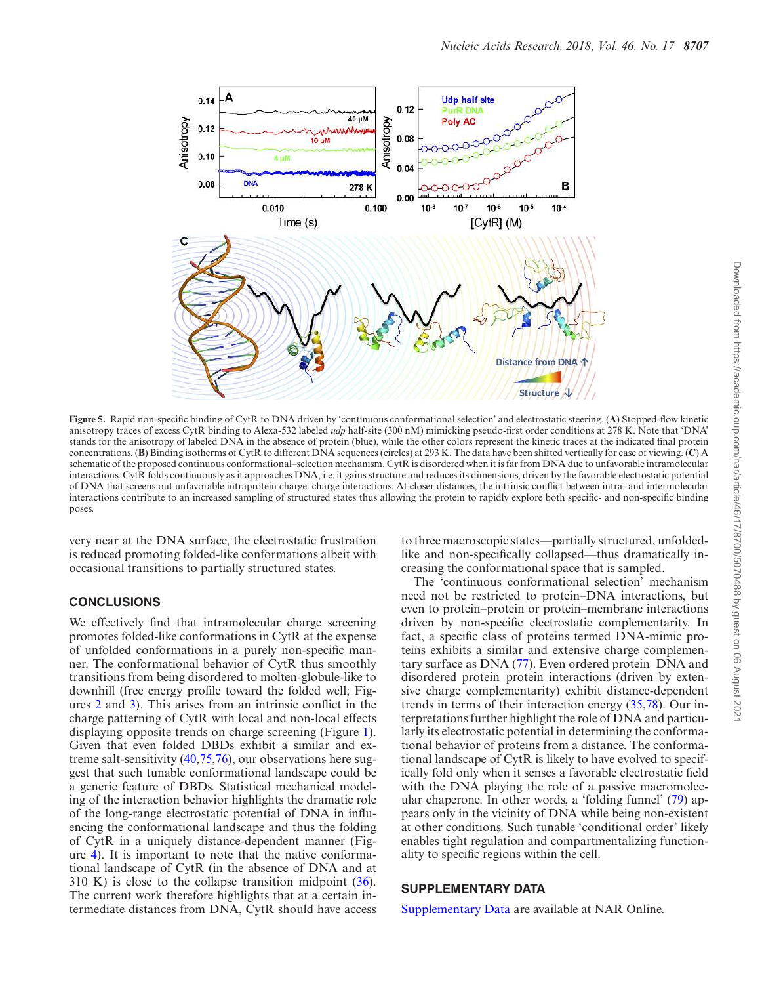

**Figure 5.** Rapid non-specific binding of CytR to DNA driven by 'continuous conformational selection' and electrostatic steering. (**A**) Stopped-flow kinetic anisotropy traces of excess CytR binding to Alexa-532 labeled *udp* half-site (300 nM) mimicking pseudo-first order conditions at 278 K. Note that 'DNA' stands for the anisotropy of labeled DNA in the absence of protein (blue), while the other colors represent the kinetic traces at the indicated final protein concentrations. (**B**) Binding isotherms of CytR to different DNA sequences (circles) at 293 K. The data have been shifted vertically for ease of viewing. (**C**) A schematic of the proposed continuous conformational–selection mechanism. CytR is disordered when it is far from DNA due to unfavorable intramolecular interactions. CytR folds continuously as it approaches DNA, i.e. it gains structure and reduces its dimensions, driven by the favorable electrostatic potential of DNA that screens out unfavorable intraprotein charge–charge interactions. At closer distances, the intrinsic conflict between intra- and intermolecular interactions contribute to an increased sampling of structured states thus allowing the protein to rapidly explore both specific- and non-specific binding poses.

very near at the DNA surface, the electrostatic frustration is reduced promoting folded-like conformations albeit with occasional transitions to partially structured states.

#### **CONCLUSIONS**

We effectively find that intramolecular charge screening promotes folded-like conformations in CytR at the expense of unfolded conformations in a purely non-specific manner. The conformational behavior of CytR thus smoothly transitions from being disordered to molten-globule-like to downhill (free energy profile toward the folded well; Figures 2 and 3). This arises from an intrinsic conflict in the charge patterning of CytR with local and non-local effects displaying opposite trends on charge screening (Figure 1). Given that even folded DBDs exhibit a similar and extreme salt-sensitivity (40,75,76), our observations here suggest that such tunable conformational landscape could be a generic feature of DBDs. Statistical mechanical modeling of the interaction behavior highlights the dramatic role of the long-range electrostatic potential of DNA in influencing the conformational landscape and thus the folding of CytR in a uniquely distance-dependent manner (Figure 4). It is important to note that the native conformational landscape of CytR (in the absence of DNA and at 310 K) is close to the collapse transition midpoint (36). The current work therefore highlights that at a certain intermediate distances from DNA, CytR should have access

to three macroscopic states––partially structured, unfoldedlike and non-specifically collapsed––thus dramatically increasing the conformational space that is sampled.

The 'continuous conformational selection' mechanism need not be restricted to protein–DNA interactions, but even to protein–protein or protein–membrane interactions driven by non-specific electrostatic complementarity. In fact, a specific class of proteins termed DNA-mimic proteins exhibits a similar and extensive charge complementary surface as DNA (77). Even ordered protein–DNA and disordered protein–protein interactions (driven by extensive charge complementarity) exhibit distance-dependent trends in terms of their interaction energy (35,78). Our interpretations further highlight the role of DNA and particularly its electrostatic potential in determining the conformational behavior of proteins from a distance. The conformational landscape of CytR is likely to have evolved to specifically fold only when it senses a favorable electrostatic field with the DNA playing the role of a passive macromolecular chaperone. In other words, a 'folding funnel' (79) appears only in the vicinity of DNA while being non-existent at other conditions. Such tunable 'conditional order' likely enables tight regulation and compartmentalizing functionality to specific regions within the cell.

# **SUPPLEMENTARY DATA**

Supplementary Data are available at NAR Online.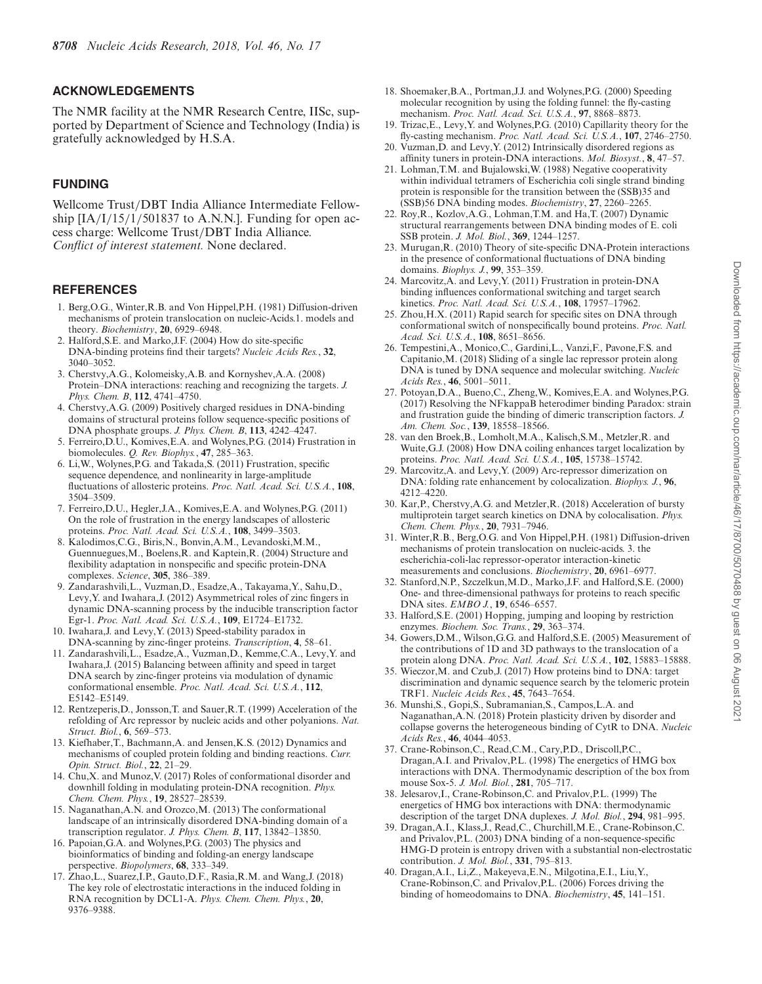# **ACKNOWLEDGEMENTS**

The NMR facility at the NMR Research Centre, IISc, supported by Department of Science and Technology (India) is gratefully acknowledged by H.S.A.

# **FUNDING**

Wellcome Trust/DBT India Alliance Intermediate Fellowship  $[IA/I/15/1/501837]$  to A.N.N.]. Funding for open access charge: Wellcome Trust/DBT India Alliance. *Conflict of interest statement.* None declared.

## **REFERENCES**

- 1. Berg,O.G., Winter,R.B. and Von Hippel,P.H. (1981) Diffusion-driven mechanisms of protein translocation on nucleic-Acids.1. models and theory. *Biochemistry*, **20**, 6929–6948.
- 2. Halford,S.E. and Marko,J.F. (2004) How do site-specific DNA-binding proteins find their targets? *Nucleic Acids Res.*, **32**, 3040–3052.
- 3. Cherstvy,A.G., Kolomeisky,A.B. and Kornyshev,A.A. (2008) Protein–DNA interactions: reaching and recognizing the targets. *J. Phys. Chem. B*, **112**, 4741–4750.
- 4. Cherstvy,A.G. (2009) Positively charged residues in DNA-binding domains of structural proteins follow sequence-specific positions of DNA phosphate groups. *J. Phys. Chem. B*, **113**, 4242–4247.
- 5. Ferreiro,D.U., Komives,E.A. and Wolynes,P.G. (2014) Frustration in biomolecules. *Q. Rev. Biophys.*, **47**, 285–363.
- 6. Li,W., Wolynes,P.G. and Takada,S. (2011) Frustration, specific sequence dependence, and nonlinearity in large-amplitude fluctuations of allosteric proteins. *Proc. Natl. Acad. Sci. U.S.A.*, **108**, 3504–3509.
- 7. Ferreiro,D.U., Hegler,J.A., Komives,E.A. and Wolynes,P.G. (2011) On the role of frustration in the energy landscapes of allosteric proteins. *Proc. Natl. Acad. Sci. U.S.A.*, **108**, 3499–3503.
- 8. Kalodimos,C.G., Biris,N., Bonvin,A.M., Levandoski,M.M., Guennuegues,M., Boelens,R. and Kaptein,R. (2004) Structure and flexibility adaptation in nonspecific and specific protein-DNA complexes. *Science*, **305**, 386–389.
- 9. Zandarashvili,L., Vuzman,D., Esadze,A., Takayama,Y., Sahu,D., Levy,Y. and Iwahara,J. (2012) Asymmetrical roles of zinc fingers in dynamic DNA-scanning process by the inducible transcription factor Egr-1. *Proc. Natl. Acad. Sci. U.S.A.*, **109**, E1724–E1732.
- 10. Iwahara,J. and Levy,Y. (2013) Speed-stability paradox in DNA-scanning by zinc-finger proteins. *Transcription*, **4**, 58–61.
- 11. Zandarashvili,L., Esadze,A., Vuzman,D., Kemme,C.A., Levy,Y. and Iwahara,J. (2015) Balancing between affinity and speed in target DNA search by zinc-finger proteins via modulation of dynamic conformational ensemble. *Proc. Natl. Acad. Sci. U.S.A.*, **112**, E5142–E5149.
- 12. Rentzeperis,D., Jonsson,T. and Sauer,R.T. (1999) Acceleration of the refolding of Arc repressor by nucleic acids and other polyanions. *Nat. Struct. Biol.*, **6**, 569–573.
- 13. Kiefhaber,T., Bachmann,A. and Jensen,K.S. (2012) Dynamics and mechanisms of coupled protein folding and binding reactions. *Curr. Opin. Struct. Biol.*, **22**, 21–29.
- 14. Chu,X. and Munoz,V. (2017) Roles of conformational disorder and downhill folding in modulating protein-DNA recognition. *Phys. Chem. Chem. Phys.*, **19**, 28527–28539.
- 15. Naganathan,A.N. and Orozco,M. (2013) The conformational landscape of an intrinsically disordered DNA-binding domain of a transcription regulator. *J. Phys. Chem. B*, **117**, 13842–13850.
- 16. Papoian,G.A. and Wolynes,P.G. (2003) The physics and bioinformatics of binding and folding-an energy landscape perspective. *Biopolymers*, **68**, 333–349.
- 17. Zhao,L., Suarez,I.P., Gauto,D.F., Rasia,R.M. and Wang,J. (2018) The key role of electrostatic interactions in the induced folding in RNA recognition by DCL1-A. *Phys. Chem. Chem. Phys.*, **20**, 9376–9388.
- 18. Shoemaker,B.A., Portman,J.J. and Wolynes,P.G. (2000) Speeding molecular recognition by using the folding funnel: the fly-casting mechanism. *Proc. Natl. Acad. Sci. U.S.A.*, **97**, 8868–8873.
- 19. Trizac,E., Levy,Y. and Wolynes,P.G. (2010) Capillarity theory for the fly-casting mechanism. *Proc. Natl. Acad. Sci. U.S.A.*, **107**, 2746–2750.
- 20. Vuzman,D. and Levy,Y. (2012) Intrinsically disordered regions as affinity tuners in protein-DNA interactions. *Mol. Biosyst.*, **8**, 47–57.
- 21. Lohman,T.M. and Bujalowski,W. (1988) Negative cooperativity within individual tetramers of Escherichia coli single strand binding protein is responsible for the transition between the (SSB)35 and (SSB)56 DNA binding modes. *Biochemistry*, **27**, 2260–2265.
- 22. Roy,R., Kozlov,A.G., Lohman,T.M. and Ha,T. (2007) Dynamic structural rearrangements between DNA binding modes of E. coli SSB protein. *J. Mol. Biol.*, **369**, 1244–1257.
- 23. Murugan,R. (2010) Theory of site-specific DNA-Protein interactions in the presence of conformational fluctuations of DNA binding domains. *Biophys. J.*, **99**, 353–359.
- 24. Marcovitz,A. and Levy,Y. (2011) Frustration in protein-DNA binding influences conformational switching and target search kinetics. *Proc. Natl. Acad. Sci. U.S.A.*, **108**, 17957–17962.
- 25. Zhou,H.X. (2011) Rapid search for specific sites on DNA through conformational switch of nonspecifically bound proteins. *Proc. Natl. Acad. Sci. U.S.A.*, **108**, 8651–8656.
- 26. Tempestini,A., Monico,C., Gardini,L., Vanzi,F., Pavone,F.S. and Capitanio,M. (2018) Sliding of a single lac repressor protein along DNA is tuned by DNA sequence and molecular switching. *Nucleic Acids Res.*, **46**, 5001–5011.
- 27. Potoyan,D.A., Bueno,C., Zheng,W., Komives,E.A. and Wolynes,P.G. (2017) Resolving the NFkappaB heterodimer binding Paradox: strain and frustration guide the binding of dimeric transcription factors. *J. Am. Chem. Soc.*, **139**, 18558–18566.
- 28. van den Broek,B., Lomholt,M.A., Kalisch,S.M., Metzler,R. and Wuite,G.J. (2008) How DNA coiling enhances target localization by proteins. *Proc. Natl. Acad. Sci. U.S.A.*, **105**, 15738–15742.
- 29. Marcovitz,A. and Levy,Y. (2009) Arc-repressor dimerization on DNA: folding rate enhancement by colocalization. *Biophys. J.*, **96**, 4212–4220.
- 30. Kar,P., Cherstvy,A.G. and Metzler,R. (2018) Acceleration of bursty multiprotein target search kinetics on DNA by colocalisation. *Phys. Chem. Chem. Phys.*, **20**, 7931–7946.
- 31. Winter,R.B., Berg,O.G. and Von Hippel,P.H. (1981) Diffusion-driven mechanisms of protein translocation on nucleic-acids. 3. the escherichia-coli-lac repressor-operator interaction-kinetic measurements and conclusions. *Biochemistry*, **20**, 6961–6977.
- 32. Stanford,N.P., Szczelkun,M.D., Marko,J.F. and Halford,S.E. (2000) One- and three-dimensional pathways for proteins to reach specific DNA sites. *EMBO J.*, **19**, 6546–6557.
- 33. Halford,S.E. (2001) Hopping, jumping and looping by restriction enzymes. *Biochem. Soc. Trans.*, **29**, 363–374.
- 34. Gowers,D.M., Wilson,G.G. and Halford,S.E. (2005) Measurement of the contributions of 1D and 3D pathways to the translocation of a protein along DNA. *Proc. Natl. Acad. Sci. U.S.A.*, **102**, 15883–15888.
- 35. Wieczor,M. and Czub,J. (2017) How proteins bind to DNA: target discrimination and dynamic sequence search by the telomeric protein TRF1. *Nucleic Acids Res.*, **45**, 7643–7654.
- 36. Munshi,S., Gopi,S., Subramanian,S., Campos,L.A. and Naganathan,A.N. (2018) Protein plasticity driven by disorder and collapse governs the heterogeneous binding of CytR to DNA. *Nucleic Acids Res.*, **46**, 4044–4053.
- 37. Crane-Robinson,C., Read,C.M., Cary,P.D., Driscoll,P.C., Dragan,A.I. and Privalov,P.L. (1998) The energetics of HMG box interactions with DNA. Thermodynamic description of the box from mouse Sox-5. *J. Mol. Biol.*, **281**, 705–717.
- 38. Jelesarov,I., Crane-Robinson,C. and Privalov,P.L. (1999) The energetics of HMG box interactions with DNA: thermodynamic description of the target DNA duplexes. *J. Mol. Biol.*, **294**, 981–995.
- 39. Dragan,A.I., Klass,J., Read,C., Churchill,M.E., Crane-Robinson,C. and Privalov,P.L. (2003) DNA binding of a non-sequence-specific HMG-D protein is entropy driven with a substantial non-electrostatic contribution. *J. Mol. Biol.*, **331**, 795–813.
- 40. Dragan,A.I., Li,Z., Makeyeva,E.N., Milgotina,E.I., Liu,Y., Crane-Robinson,C. and Privalov,P.L. (2006) Forces driving the binding of homeodomains to DNA. *Biochemistry*, **45**, 141–151.